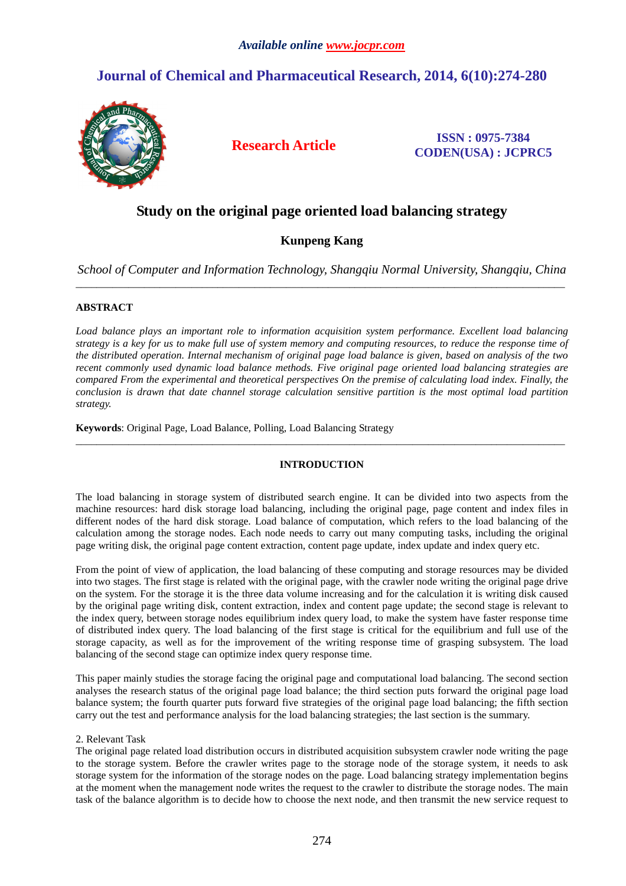# **Journal of Chemical and Pharmaceutical Research, 2014, 6(10):274-280**



**Research Article ISSN : 0975-7384 CODEN(USA) : JCPRC5**

# **Study on the original page oriented load balancing strategy**

# **Kunpeng Kang**

*School of Computer and Information Technology, Shangqiu Normal University, Shangqiu, China*  \_\_\_\_\_\_\_\_\_\_\_\_\_\_\_\_\_\_\_\_\_\_\_\_\_\_\_\_\_\_\_\_\_\_\_\_\_\_\_\_\_\_\_\_\_\_\_\_\_\_\_\_\_\_\_\_\_\_\_\_\_\_\_\_\_\_\_\_\_\_\_\_\_\_\_\_\_\_\_\_\_\_\_\_\_\_\_\_\_\_\_\_\_

# **ABSTRACT**

*Load balance plays an important role to information acquisition system performance. Excellent load balancing strategy is a key for us to make full use of system memory and computing resources, to reduce the response time of the distributed operation. Internal mechanism of original page load balance is given, based on analysis of the two recent commonly used dynamic load balance methods. Five original page oriented load balancing strategies are compared From the experimental and theoretical perspectives On the premise of calculating load index. Finally, the conclusion is drawn that date channel storage calculation sensitive partition is the most optimal load partition strategy.* 

**Keywords**: Original Page, Load Balance, Polling, Load Balancing Strategy

# **INTRODUCTION**

\_\_\_\_\_\_\_\_\_\_\_\_\_\_\_\_\_\_\_\_\_\_\_\_\_\_\_\_\_\_\_\_\_\_\_\_\_\_\_\_\_\_\_\_\_\_\_\_\_\_\_\_\_\_\_\_\_\_\_\_\_\_\_\_\_\_\_\_\_\_\_\_\_\_\_\_\_\_\_\_\_\_\_\_\_\_\_\_\_\_\_\_\_

The load balancing in storage system of distributed search engine. It can be divided into two aspects from the machine resources: hard disk storage load balancing, including the original page, page content and index files in different nodes of the hard disk storage. Load balance of computation, which refers to the load balancing of the calculation among the storage nodes. Each node needs to carry out many computing tasks, including the original page writing disk, the original page content extraction, content page update, index update and index query etc.

From the point of view of application, the load balancing of these computing and storage resources may be divided into two stages. The first stage is related with the original page, with the crawler node writing the original page drive on the system. For the storage it is the three data volume increasing and for the calculation it is writing disk caused by the original page writing disk, content extraction, index and content page update; the second stage is relevant to the index query, between storage nodes equilibrium index query load, to make the system have faster response time of distributed index query. The load balancing of the first stage is critical for the equilibrium and full use of the storage capacity, as well as for the improvement of the writing response time of grasping subsystem. The load balancing of the second stage can optimize index query response time.

This paper mainly studies the storage facing the original page and computational load balancing. The second section analyses the research status of the original page load balance; the third section puts forward the original page load balance system; the fourth quarter puts forward five strategies of the original page load balancing; the fifth section carry out the test and performance analysis for the load balancing strategies; the last section is the summary.

# 2. Relevant Task

The original page related load distribution occurs in distributed acquisition subsystem crawler node writing the page to the storage system. Before the crawler writes page to the storage node of the storage system, it needs to ask storage system for the information of the storage nodes on the page. Load balancing strategy implementation begins at the moment when the management node writes the request to the crawler to distribute the storage nodes. The main task of the balance algorithm is to decide how to choose the next node, and then transmit the new service request to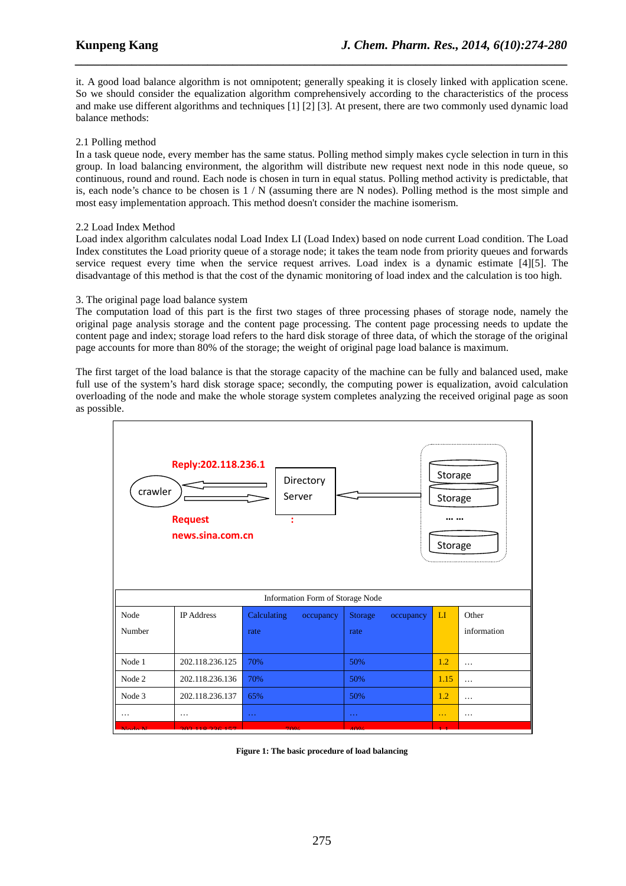it. A good load balance algorithm is not omnipotent; generally speaking it is closely linked with application scene. So we should consider the equalization algorithm comprehensively according to the characteristics of the process and make use different algorithms and techniques [1] [2] [3]. At present, there are two commonly used dynamic load balance methods:

*\_\_\_\_\_\_\_\_\_\_\_\_\_\_\_\_\_\_\_\_\_\_\_\_\_\_\_\_\_\_\_\_\_\_\_\_\_\_\_\_\_\_\_\_\_\_\_\_\_\_\_\_\_\_\_\_\_\_\_\_\_\_\_\_\_\_\_\_\_\_\_\_\_\_\_\_\_\_*

# 2.1 Polling method

In a task queue node, every member has the same status. Polling method simply makes cycle selection in turn in this group. In load balancing environment, the algorithm will distribute new request next node in this node queue, so continuous, round and round. Each node is chosen in turn in equal status. Polling method activity is predictable, that is, each node's chance to be chosen is  $1/N$  (assuming there are N nodes). Polling method is the most simple and most easy implementation approach. This method doesn't consider the machine isomerism.

# 2.2 Load Index Method

Load index algorithm calculates nodal Load Index LI (Load Index) based on node current Load condition. The Load Index constitutes the Load priority queue of a storage node; it takes the team node from priority queues and forwards service request every time when the service request arrives. Load index is a dynamic estimate [4][5]. The disadvantage of this method is that the cost of the dynamic monitoring of load index and the calculation is too high.

# 3. The original page load balance system

The computation load of this part is the first two stages of three processing phases of storage node, namely the original page analysis storage and the content page processing. The content page processing needs to update the content page and index; storage load refers to the hard disk storage of three data, of which the storage of the original page accounts for more than 80% of the storage; the weight of original page load balance is maximum.

The first target of the load balance is that the storage capacity of the machine can be fully and balanced used, make full use of the system's hard disk storage space; secondly, the computing power is equalization, avoid calculation overloading of the node and make the whole storage system completes analyzing the received original page as soon as possible.

| Reply:202.118.236.1<br>Storage<br>Directory<br>crawler<br>Server<br>Storage<br><b>Request</b><br>t<br>news.sina.com.cn<br>Storage |                   |                          |                      |      |             |
|-----------------------------------------------------------------------------------------------------------------------------------|-------------------|--------------------------|----------------------|------|-------------|
| Information Form of Storage Node                                                                                                  |                   |                          |                      |      |             |
| Node                                                                                                                              | <b>IP</b> Address | Calculating<br>occupancy | Storage<br>occupancy | LI   | Other       |
| Number                                                                                                                            |                   | rate                     | rate                 |      | information |
| Node 1                                                                                                                            | 202.118.236.125   | 70%                      | 50%                  | 1.2  | $\cdots$    |
| Node 2                                                                                                                            | 202.118.236.136   | 70%                      | 50%                  | 1.15 | $\cdots$    |
| Node 3                                                                                                                            | 202.118.236.137   | 65%                      | 50%                  | 1.2  | .           |
| $\cdots$                                                                                                                          | $\cdots$          | $\sim$ $\sim$ $\sim$     | $\sim$ $\sim$ $\sim$ | .    | $\cdots$    |
|                                                                                                                                   |                   |                          | ە دە                 |      |             |

**Figure 1: The basic procedure of load balancing**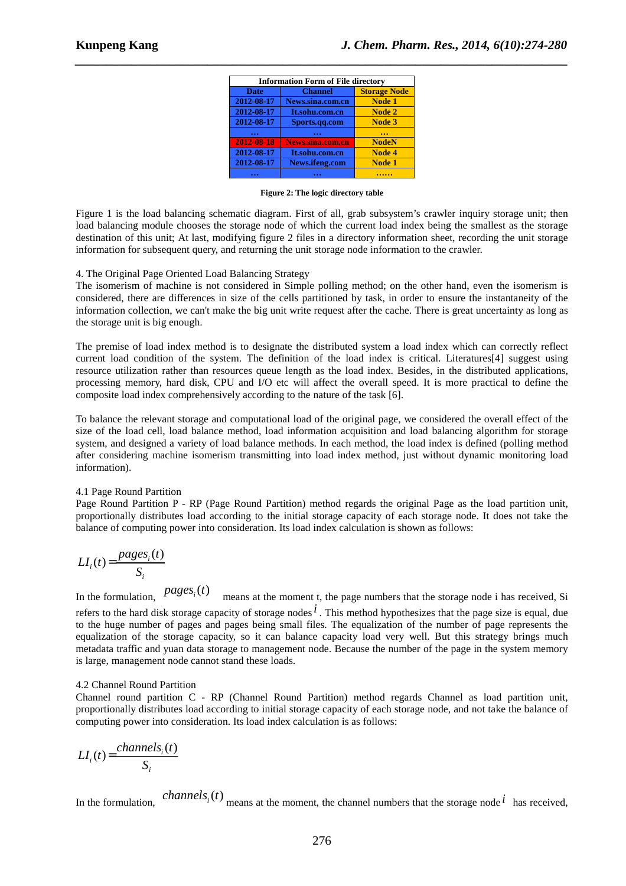| <b>Information Form of File directory</b> |                         |                     |  |  |
|-------------------------------------------|-------------------------|---------------------|--|--|
| <b>Date</b>                               | <b>Channel</b>          | <b>Storage Node</b> |  |  |
| 2012-08-17                                | News.sina.com.cn        | <b>Node 1</b>       |  |  |
| 2012-08-17                                | It.sohu.com.cn          | Node 2              |  |  |
| 2012-08-17                                | Sports.qq.com           | Node 3              |  |  |
|                                           |                         |                     |  |  |
| 2012-08-18                                | <b>News.sina.com.cn</b> | <b>NodeN</b>        |  |  |
| 2012-08-17                                | It.sohu.com.cn          | Node 4              |  |  |
| 2012-08-17                                | News.ifeng.com          | <b>Node 1</b>       |  |  |
|                                           |                         |                     |  |  |

*\_\_\_\_\_\_\_\_\_\_\_\_\_\_\_\_\_\_\_\_\_\_\_\_\_\_\_\_\_\_\_\_\_\_\_\_\_\_\_\_\_\_\_\_\_\_\_\_\_\_\_\_\_\_\_\_\_\_\_\_\_\_\_\_\_\_\_\_\_\_\_\_\_\_\_\_\_\_*

**Figure 2: The logic directory table** 

Figure 1 is the load balancing schematic diagram. First of all, grab subsystem's crawler inquiry storage unit; then load balancing module chooses the storage node of which the current load index being the smallest as the storage destination of this unit; At last, modifying figure 2 files in a directory information sheet, recording the unit storage information for subsequent query, and returning the unit storage node information to the crawler.

### 4. The Original Page Oriented Load Balancing Strategy

The isomerism of machine is not considered in Simple polling method; on the other hand, even the isomerism is considered, there are differences in size of the cells partitioned by task, in order to ensure the instantaneity of the information collection, we can't make the big unit write request after the cache. There is great uncertainty as long as the storage unit is big enough.

The premise of load index method is to designate the distributed system a load index which can correctly reflect current load condition of the system. The definition of the load index is critical. Literatures[4] suggest using resource utilization rather than resources queue length as the load index. Besides, in the distributed applications, processing memory, hard disk, CPU and I/O etc will affect the overall speed. It is more practical to define the composite load index comprehensively according to the nature of the task [6].

To balance the relevant storage and computational load of the original page, we considered the overall effect of the size of the load cell, load balance method, load information acquisition and load balancing algorithm for storage system, and designed a variety of load balance methods. In each method, the load index is defined (polling method after considering machine isomerism transmitting into load index method, just without dynamic monitoring load information).

#### 4.1 Page Round Partition

Page Round Partition P - RP (Page Round Partition) method regards the original Page as the load partition unit, proportionally distributes load according to the initial storage capacity of each storage node. It does not take the balance of computing power into consideration. Its load index calculation is shown as follows:

$$
LI_i(t) = \frac{pages_i(t)}{S_i}
$$

In the formulation,  $pages<sub>i</sub>(t)$ means at the moment t, the page numbers that the storage node i has received, Si refers to the hard disk storage capacity of storage nodes*i* . This method hypothesizes that the page size is equal, due to the huge number of pages and pages being small files. The equalization of the number of page represents the equalization of the storage capacity, so it can balance capacity load very well. But this strategy brings much metadata traffic and yuan data storage to management node. Because the number of the page in the system memory is large, management node cannot stand these loads.

### 4.2 Channel Round Partition

Channel round partition C - RP (Channel Round Partition) method regards Channel as load partition unit, proportionally distributes load according to initial storage capacity of each storage node, and not take the balance of computing power into consideration. Its load index calculation is as follows:

$$
LI_i(t) = \frac{channels_i(t)}{S_i}
$$

In the formulation,  $\hat{channels}_i(t)$  means at the moment, the channel numbers that the storage node  $^i$  has received,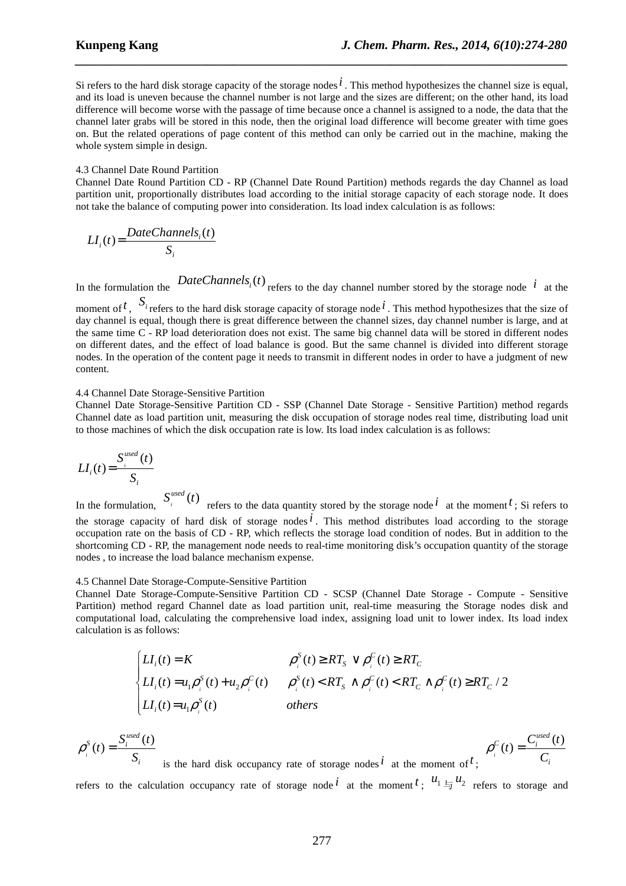Si refers to the hard disk storage capacity of the storage nodes*i* . This method hypothesizes the channel size is equal, and its load is uneven because the channel number is not large and the sizes are different; on the other hand, its load difference will become worse with the passage of time because once a channel is assigned to a node, the data that the channel later grabs will be stored in this node, then the original load difference will become greater with time goes on. But the related operations of page content of this method can only be carried out in the machine, making the whole system simple in design.

*\_\_\_\_\_\_\_\_\_\_\_\_\_\_\_\_\_\_\_\_\_\_\_\_\_\_\_\_\_\_\_\_\_\_\_\_\_\_\_\_\_\_\_\_\_\_\_\_\_\_\_\_\_\_\_\_\_\_\_\_\_\_\_\_\_\_\_\_\_\_\_\_\_\_\_\_\_\_*

#### 4.3 Channel Date Round Partition

Channel Date Round Partition CD - RP (Channel Date Round Partition) methods regards the day Channel as load partition unit, proportionally distributes load according to the initial storage capacity of each storage node. It does not take the balance of computing power into consideration. Its load index calculation is as follows:

$$
LI_i(t) = \frac{DateChannels_i(t)}{S_i}
$$

In the formulation the  $DateChannels_i(t)$  refers to the day channel number stored by the storage node  $i$  at the

moment of <sup>t</sup>,  $S_i$  refers to the hard disk storage capacity of storage node <sup>i</sup>. This method hypothesizes that the size of day channel is equal, though there is great difference between the channel sizes, day channel number is large, and at the same time C - RP load deterioration does not exist. The same big channel data will be stored in different nodes on different dates, and the effect of load balance is good. But the same channel is divided into different storage nodes. In the operation of the content page it needs to transmit in different nodes in order to have a judgment of new content.

#### 4.4 Channel Date Storage-Sensitive Partition

Channel Date Storage-Sensitive Partition CD - SSP (Channel Date Storage - Sensitive Partition) method regards Channel date as load partition unit, measuring the disk occupation of storage nodes real time, distributing load unit to those machines of which the disk occupation rate is low. Its load index calculation is as follows:

$$
LI_i(t) = \frac{S_i^{used}(t)}{S_i}
$$

In the formulation,  $S_i^{used}(t)$  refers to the data quantity stored by the storage node *i* at the moment *t*; Si refers to the storage capacity of hard disk of storage nodes*i* . This method distributes load according to the storage occupation rate on the basis of CD - RP, which reflects the storage load condition of nodes. But in addition to the shortcoming CD - RP, the management node needs to real-time monitoring disk's occupation quantity of the storage nodes , to increase the load balance mechanism expense.

#### 4.5 Channel Date Storage-Compute-Sensitive Partition

Channel Date Storage-Compute-Sensitive Partition CD - SCSP (Channel Date Storage - Compute - Sensitive Partition) method regard Channel date as load partition unit, real-time measuring the Storage nodes disk and computational load, calculating the comprehensive load index, assigning load unit to lower index. Its load index calculation is as follows:

$$
\begin{cases}\nLI_i(t) = K & \rho_i^S(t) \ge RT_s \lor \rho_i^C(t) \ge RT_c \\
LI_i(t) = u_1 \rho_i^S(t) + u_2 \rho_i^C(t) & \rho_i^S(t) < RT_s \land \rho_i^C(t) < RT_c \land \rho_i^C(t) \ge RT_c / 2 \\
LI_i(t) = u_1 \rho_i^S(t) & \text{others}\n\end{cases}
$$

$$
\rho_i^S(t) = \frac{S_i^{used}(t)}{S_i}
$$
 is the hard disk occupancy rate of storage nodes  $i$  at the moment of  $t$ ; 
$$
\rho_i^C(t) = \frac{C_i^{used}(t)}{C_i}
$$

refers to the calculation occupancy rate of storage node  $\ell$  at the moment  $t$ ;  $u_1 \equiv u_2$  refers to storage and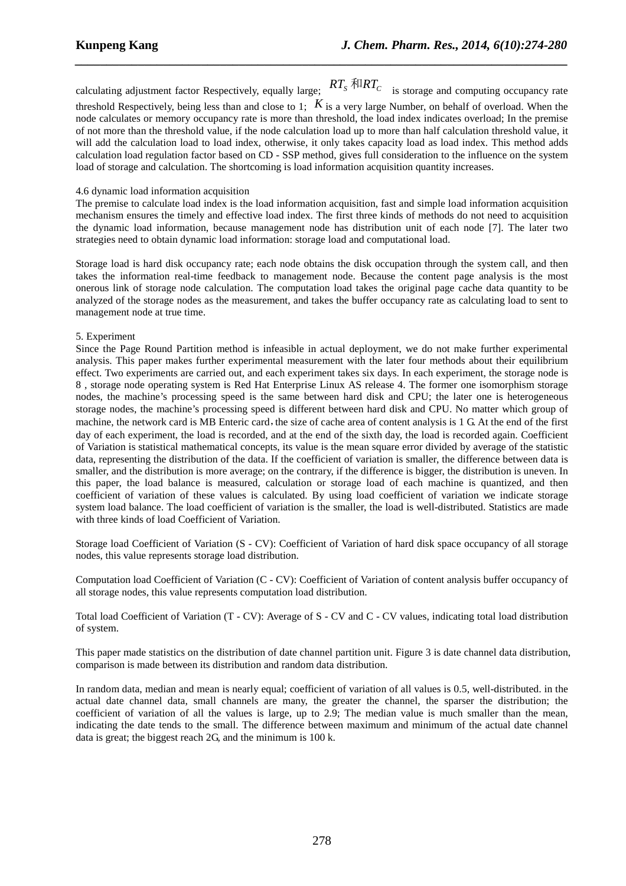calculating adjustment factor Respectively, equally large;  $RT_s$  *RT<sub>S</sub>* is storage and computing occupancy rate threshold Respectively, being less than and close to 1;  $K$  is a very large Number, on behalf of overload. When the node calculates or memory occupancy rate is more than threshold, the load index indicates overload; In the premise of not more than the threshold value, if the node calculation load up to more than half calculation threshold value, it will add the calculation load to load index, otherwise, it only takes capacity load as load index. This method adds calculation load regulation factor based on CD - SSP method, gives full consideration to the influence on the system load of storage and calculation. The shortcoming is load information acquisition quantity increases.

*\_\_\_\_\_\_\_\_\_\_\_\_\_\_\_\_\_\_\_\_\_\_\_\_\_\_\_\_\_\_\_\_\_\_\_\_\_\_\_\_\_\_\_\_\_\_\_\_\_\_\_\_\_\_\_\_\_\_\_\_\_\_\_\_\_\_\_\_\_\_\_\_\_\_\_\_\_\_*

## 4.6 dynamic load information acquisition

The premise to calculate load index is the load information acquisition, fast and simple load information acquisition mechanism ensures the timely and effective load index. The first three kinds of methods do not need to acquisition the dynamic load information, because management node has distribution unit of each node [7]. The later two strategies need to obtain dynamic load information: storage load and computational load.

Storage load is hard disk occupancy rate; each node obtains the disk occupation through the system call, and then takes the information real-time feedback to management node. Because the content page analysis is the most onerous link of storage node calculation. The computation load takes the original page cache data quantity to be analyzed of the storage nodes as the measurement, and takes the buffer occupancy rate as calculating load to sent to management node at true time.

# 5. Experiment

Since the Page Round Partition method is infeasible in actual deployment, we do not make further experimental analysis. This paper makes further experimental measurement with the later four methods about their equilibrium effect. Two experiments are carried out, and each experiment takes six days. In each experiment, the storage node is 8 , storage node operating system is Red Hat Enterprise Linux AS release 4. The former one isomorphism storage nodes, the machine's processing speed is the same between hard disk and CPU; the later one is heterogeneous storage nodes, the machine's processing speed is different between hard disk and CPU. No matter which group of machine, the network card is MB Enteric card, the size of cache area of content analysis is 1 G. At the end of the first day of each experiment, the load is recorded, and at the end of the sixth day, the load is recorded again. Coefficient of Variation is statistical mathematical concepts, its value is the mean square error divided by average of the statistic data, representing the distribution of the data. If the coefficient of variation is smaller, the difference between data is smaller, and the distribution is more average; on the contrary, if the difference is bigger, the distribution is uneven. In this paper, the load balance is measured, calculation or storage load of each machine is quantized, and then coefficient of variation of these values is calculated. By using load coefficient of variation we indicate storage system load balance. The load coefficient of variation is the smaller, the load is well-distributed. Statistics are made with three kinds of load Coefficient of Variation.

Storage load Coefficient of Variation (S - CV): Coefficient of Variation of hard disk space occupancy of all storage nodes, this value represents storage load distribution.

Computation load Coefficient of Variation (C - CV): Coefficient of Variation of content analysis buffer occupancy of all storage nodes, this value represents computation load distribution.

Total load Coefficient of Variation (T - CV): Average of S - CV and C - CV values, indicating total load distribution of system.

This paper made statistics on the distribution of date channel partition unit. Figure 3 is date channel data distribution, comparison is made between its distribution and random data distribution.

In random data, median and mean is nearly equal; coefficient of variation of all values is 0.5, well-distributed. in the actual date channel data, small channels are many, the greater the channel, the sparser the distribution; the coefficient of variation of all the values is large, up to 2.9; The median value is much smaller than the mean, indicating the date tends to the small. The difference between maximum and minimum of the actual date channel data is great; the biggest reach 2G, and the minimum is 100 k.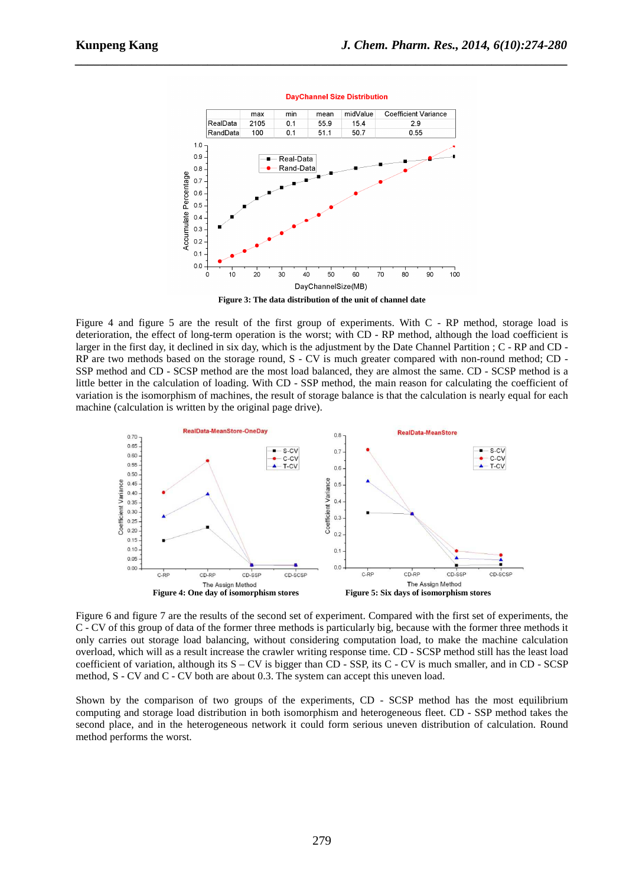

**DayChannel Size Distribution** 

*\_\_\_\_\_\_\_\_\_\_\_\_\_\_\_\_\_\_\_\_\_\_\_\_\_\_\_\_\_\_\_\_\_\_\_\_\_\_\_\_\_\_\_\_\_\_\_\_\_\_\_\_\_\_\_\_\_\_\_\_\_\_\_\_\_\_\_\_\_\_\_\_\_\_\_\_\_\_*

**Figure 3: The data distribution of the unit of channel date** 

Figure 4 and figure 5 are the result of the first group of experiments. With C - RP method, storage load is deterioration, the effect of long-term operation is the worst; with CD - RP method, although the load coefficient is larger in the first day, it declined in six day, which is the adjustment by the Date Channel Partition ; C - RP and CD - RP are two methods based on the storage round, S - CV is much greater compared with non-round method; CD - SSP method and CD - SCSP method are the most load balanced, they are almost the same. CD - SCSP method is a little better in the calculation of loading. With CD - SSP method, the main reason for calculating the coefficient of variation is the isomorphism of machines, the result of storage balance is that the calculation is nearly equal for each machine (calculation is written by the original page drive).



Figure 6 and figure 7 are the results of the second set of experiment. Compared with the first set of experiments, the C - CV of this group of data of the former three methods is particularly big, because with the former three methods it only carries out storage load balancing, without considering computation load, to make the machine calculation overload, which will as a result increase the crawler writing response time. CD - SCSP method still has the least load coefficient of variation, although its  $S - CV$  is bigger than CD - SSP, its C - CV is much smaller, and in CD - SCSP method, S - CV and C - CV both are about 0.3. The system can accept this uneven load.

Shown by the comparison of two groups of the experiments, CD - SCSP method has the most equilibrium computing and storage load distribution in both isomorphism and heterogeneous fleet. CD - SSP method takes the second place, and in the heterogeneous network it could form serious uneven distribution of calculation. Round method performs the worst.